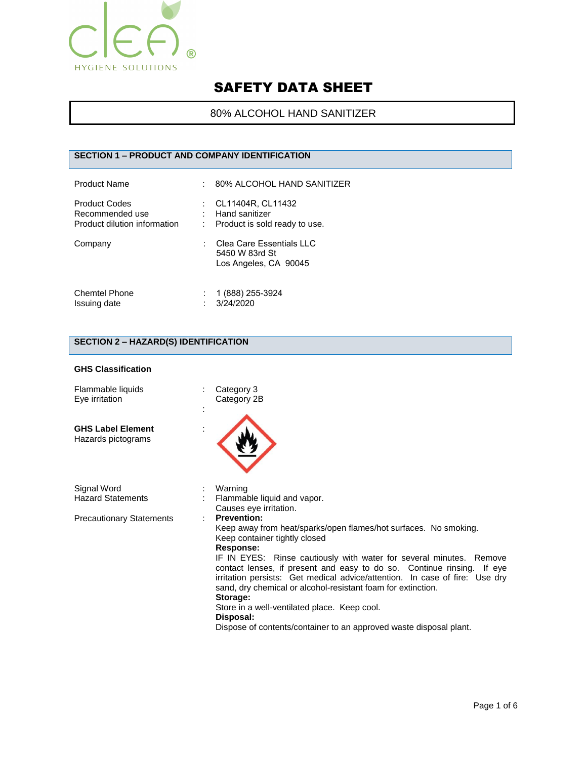

# 80% ALCOHOL HAND SANITIZER

## **SECTION 1 – PRODUCT AND COMPANY IDENTIFICATION**

| <b>Product Name</b>                                                     | : 80% ALCOHOL HAND SANITIZER                                          |
|-------------------------------------------------------------------------|-----------------------------------------------------------------------|
| <b>Product Codes</b><br>Recommended use<br>Product dilution information | CL11404R, CL11432<br>Hand sanitizer<br>Product is sold ready to use.  |
| Company                                                                 | Clea Care Essentials I I C<br>5450 W 83rd St<br>Los Angeles, CA 90045 |
| <b>Chemtel Phone</b><br>Issuing date                                    | 1 (888) 255-3924<br>3/24/2020                                         |

# **SECTION 2 – HAZARD(S) IDENTIFICATION**

#### **GHS Classification**

| Flammable liquids<br>Eye irritation            | Category 3<br>Category 2B                                                                                                                                                                                                                                                                       |
|------------------------------------------------|-------------------------------------------------------------------------------------------------------------------------------------------------------------------------------------------------------------------------------------------------------------------------------------------------|
| <b>GHS Label Element</b><br>Hazards pictograms |                                                                                                                                                                                                                                                                                                 |
| Signal Word<br><b>Hazard Statements</b>        | Warning<br>Flammable liquid and vapor.                                                                                                                                                                                                                                                          |
|                                                | Causes eye irritation.                                                                                                                                                                                                                                                                          |
| <b>Precautionary Statements</b>                | <b>Prevention:</b><br>Keep away from heat/sparks/open flames/hot surfaces. No smoking.<br>Keep container tightly closed<br>Response:                                                                                                                                                            |
|                                                | IF IN EYES: Rinse cautiously with water for several minutes. Remove<br>contact lenses, if present and easy to do so. Continue rinsing.<br>If eye<br>irritation persists: Get medical advice/attention. In case of fire: Use dry<br>sand, dry chemical or alcohol-resistant foam for extinction. |
|                                                | Storage:                                                                                                                                                                                                                                                                                        |
|                                                | Store in a well-ventilated place. Keep cool.<br>Disposal:                                                                                                                                                                                                                                       |
|                                                | Dispose of contents/container to an approved waste disposal plant.                                                                                                                                                                                                                              |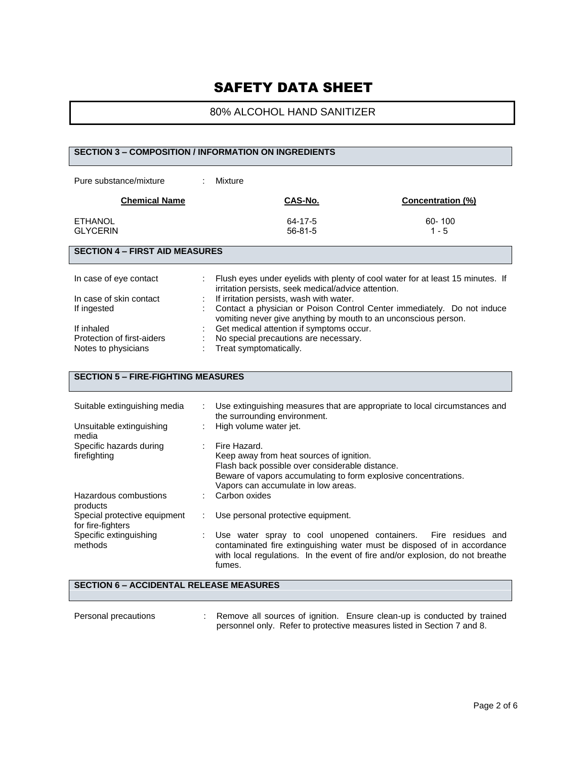# 80% ALCOHOL HAND SANITIZER

#### **SECTION 3 – COMPOSITION / INFORMATION ON INGREDIENTS**

| Pure substance/mixture            | Mixture |                          |                          |
|-----------------------------------|---------|--------------------------|--------------------------|
| <b>Chemical Name</b>              |         | CAS-No.                  | <b>Concentration (%)</b> |
| <b>ETHANOL</b><br><b>GLYCERIN</b> |         | 64-17-5<br>$56 - 81 - 5$ | $60 - 100$<br>$1 - 5$    |

#### **SECTION 4 – FIRST AID MEASURES**

| In case of eye contact     |    | Flush eyes under eyelids with plenty of cool water for at least 15 minutes. If<br>irritation persists, seek medical/advice attention.        |
|----------------------------|----|----------------------------------------------------------------------------------------------------------------------------------------------|
|                            |    |                                                                                                                                              |
| In case of skin contact    | ÷. | If irritation persists, wash with water.                                                                                                     |
| If ingested                |    | : Contact a physician or Poison Control Center immediately. Do not induce<br>vomiting never give anything by mouth to an unconscious person. |
| If inhaled                 |    | Get medical attention if symptoms occur.                                                                                                     |
|                            |    |                                                                                                                                              |
| Protection of first-aiders |    | No special precautions are necessary.                                                                                                        |
| Notes to physicians        |    | : Treat symptomatically.                                                                                                                     |

## **SECTION 5 – FIRE-FIGHTING MEASURES**

| Suitable extinguishing media                      | Use extinguishing measures that are appropriate to local circumstances and<br>the surrounding environment.                                                                                                                           |
|---------------------------------------------------|--------------------------------------------------------------------------------------------------------------------------------------------------------------------------------------------------------------------------------------|
| Unsuitable extinguishing<br>media                 | High volume water jet.                                                                                                                                                                                                               |
| Specific hazards during<br>firefighting           | Fire Hazard.<br>Keep away from heat sources of ignition.<br>Flash back possible over considerable distance.<br>Beware of vapors accumulating to form explosive concentrations.<br>Vapors can accumulate in low areas.                |
| Hazardous combustions<br>products                 | Carbon oxides                                                                                                                                                                                                                        |
| Special protective equipment<br>for fire-fighters | Use personal protective equipment.                                                                                                                                                                                                   |
| Specific extinguishing<br>methods                 | Use water spray to cool unopened containers. Fire residues and<br>contaminated fire extinguishing water must be disposed of in accordance<br>with local regulations. In the event of fire and/or explosion, do not breathe<br>fumes. |

#### **SECTION 6 – ACCIDENTAL RELEASE MEASURES**

Personal precautions : Remove all sources of ignition. Ensure clean-up is conducted by trained personnel only. Refer to protective measures listed in Section 7 and 8.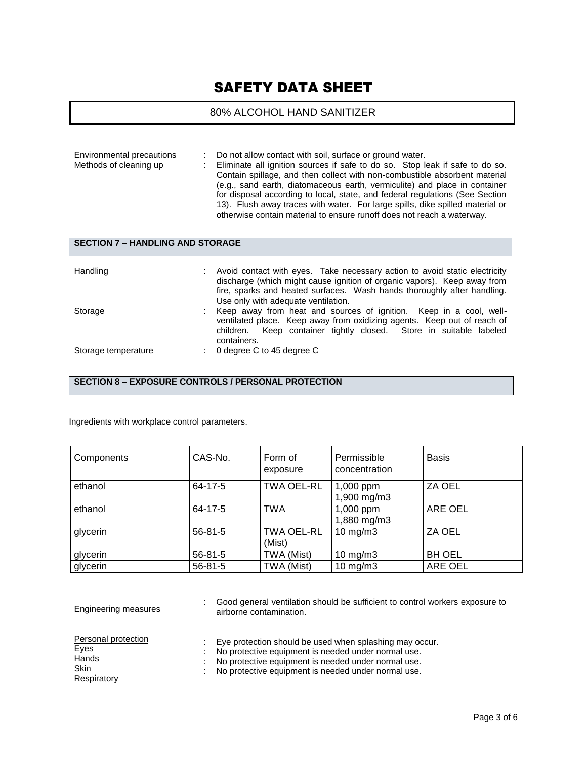# 80% ALCOHOL HAND SANITIZER

| Environmental precautions | Do not allow contact with soil, surface or ground water.                                                                                                                                                                                                                                                              |
|---------------------------|-----------------------------------------------------------------------------------------------------------------------------------------------------------------------------------------------------------------------------------------------------------------------------------------------------------------------|
| Methods of cleaning up    | Eliminate all ignition sources if safe to do so. Stop leak if safe to do so.<br>Contain spillage, and then collect with non-combustible absorbent material                                                                                                                                                            |
|                           | (e.g., sand earth, diatomaceous earth, vermiculite) and place in container<br>for disposal according to local, state, and federal regulations (See Section<br>13). Flush away traces with water. For large spills, dike spilled material or<br>otherwise contain material to ensure runoff does not reach a waterway. |

## **SECTION 7 – HANDLING AND STORAGE**

| Handling            | Avoid contact with eyes. Take necessary action to avoid static electricity<br>discharge (which might cause ignition of organic vapors). Keep away from<br>fire, sparks and heated surfaces. Wash hands thoroughly after handling.<br>Use only with adequate ventilation. |
|---------------------|--------------------------------------------------------------------------------------------------------------------------------------------------------------------------------------------------------------------------------------------------------------------------|
| Storage             | Keep away from heat and sources of ignition. Keep in a cool, well-<br>ventilated place. Keep away from oxidizing agents. Keep out of reach of<br>children. Keep container tightly closed. Store in suitable labeled<br>containers.                                       |
| Storage temperature | 0 degree C to 45 degree C                                                                                                                                                                                                                                                |

**SECTION 8 – EXPOSURE CONTROLS / PERSONAL PROTECTION**

Ingredients with workplace control parameters.

| Components | CAS-No.       | Form of<br>exposure         | Permissible<br>concentration | <b>Basis</b>  |
|------------|---------------|-----------------------------|------------------------------|---------------|
| ethanol    | $64 - 17 - 5$ | <b>TWA OEL-RL</b>           | 1,000 ppm<br>1,900 mg/m3     | ZA OEL        |
| ethanol    | 64-17-5       | <b>TWA</b>                  | 1,000 ppm<br>1,880 mg/m3     | ARE OEL       |
| glycerin   | $56 - 81 - 5$ | <b>TWA OEL-RL</b><br>(Mist) | $10$ mg/m $3$                | ZA OEL        |
| glycerin   | $56 - 81 - 5$ | TWA (Mist)                  | $10$ mg/m $3$                | <b>BH OEL</b> |
| glycerin   | $56 - 81 - 5$ | TWA (Mist)                  | $10 \text{ mg/m}$ 3          | ARE OEL       |

| Engineering measures                                               | Good general ventilation should be sufficient to control workers exposure to<br>airborne contamination.                                                                                                                      |
|--------------------------------------------------------------------|------------------------------------------------------------------------------------------------------------------------------------------------------------------------------------------------------------------------------|
| Personal protection<br>Eyes<br>Hands<br><b>Skin</b><br>Respiratory | Eye protection should be used when splashing may occur.<br>No protective equipment is needed under normal use.<br>No protective equipment is needed under normal use.<br>No protective equipment is needed under normal use. |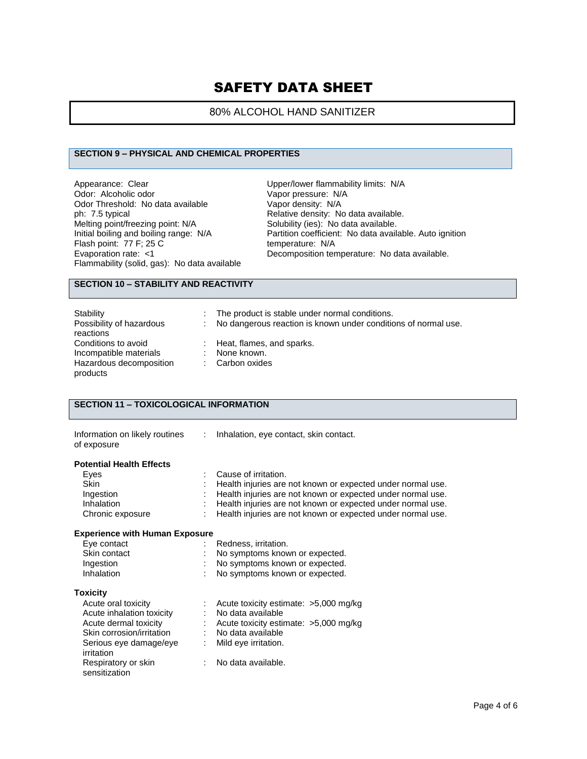## 80% ALCOHOL HAND SANITIZER

## **SECTION 9 – PHYSICAL AND CHEMICAL PROPERTIES**

Appearance: Clear Odor: Alcoholic odor Odor Threshold: No data available ph: 7.5 typical Melting point/freezing point: N/A Initial boiling and boiling range: N/A Flash point: 77 F; 25 C Evaporation rate: <1 Flammability (solid, gas): No data available Upper/lower flammability limits: N/A Vapor pressure: N/A Vapor density: N/A Relative density: No data available. Solubility (ies): No data available. Partition coefficient: No data available. Auto ignition temperature: N/A Decomposition temperature: No data available.

## **SECTION 10 – STABILITY AND REACTIVITY**

| Stability                | The product is stable under normal conditions.                   |
|--------------------------|------------------------------------------------------------------|
| Possibility of hazardous | : No dangerous reaction is known under conditions of normal use. |
| reactions                |                                                                  |
| Conditions to avoid      | $\therefore$ Heat, flames, and sparks.                           |
| Incompatible materials   | None known.                                                      |
| Hazardous decomposition  | : Carbon oxides                                                  |
| products                 |                                                                  |

#### **SECTION 11 – TOXICOLOGICAL INFORMATION**

| Information on likely routines<br>of exposure | ÷. | Inhalation, eye contact, skin contact.                      |
|-----------------------------------------------|----|-------------------------------------------------------------|
| <b>Potential Health Effects</b>               |    |                                                             |
| Eyes                                          |    | Cause of irritation.                                        |
| <b>Skin</b>                                   |    | Health injuries are not known or expected under normal use. |
| Ingestion                                     |    | Health injuries are not known or expected under normal use. |
| Inhalation                                    |    | Health injuries are not known or expected under normal use. |
| Chronic exposure                              |    | Health injuries are not known or expected under normal use. |
| <b>Experience with Human Exposure</b>         |    |                                                             |
| Eye contact                                   |    | Redness, irritation.                                        |
| Skin contact                                  |    | No symptoms known or expected.                              |
| Ingestion                                     |    | No symptoms known or expected.                              |
| Inhalation                                    |    | No symptoms known or expected.                              |
| <b>Toxicity</b>                               |    |                                                             |
| Acute oral toxicity                           |    | Acute toxicity estimate: $>5,000$ mg/kg                     |
| Acute inhalation toxicity                     |    | No data available                                           |
| Acute dermal toxicity                         |    | Acute toxicity estimate: $>5,000$ mg/kg                     |
| Skin corrosion/irritation                     |    | : No data available                                         |
| Serious eye damage/eye<br>irritation          | ÷  | Mild eye irritation.                                        |
| Respiratory or skin<br>sensitization          |    | No data available.                                          |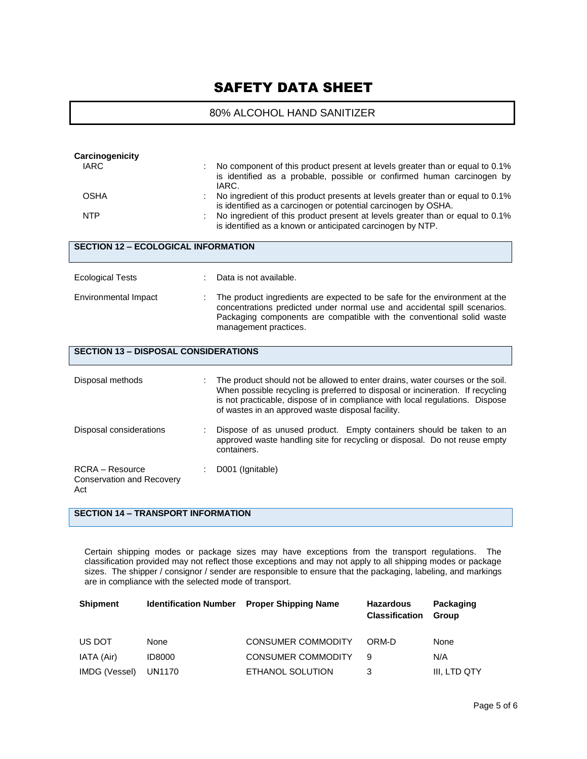## 80% ALCOHOL HAND SANITIZER

| Carcinogenicity<br><b>IARC</b>                                    | No component of this product present at levels greater than or equal to 0.1%<br>is identified as a probable, possible or confirmed human carcinogen by<br>IARC.                                                                                                                                      |
|-------------------------------------------------------------------|------------------------------------------------------------------------------------------------------------------------------------------------------------------------------------------------------------------------------------------------------------------------------------------------------|
| <b>OSHA</b>                                                       | No ingredient of this product presents at levels greater than or equal to 0.1%<br>is identified as a carcinogen or potential carcinogen by OSHA.                                                                                                                                                     |
| <b>NTP</b>                                                        | No ingredient of this product present at levels greater than or equal to 0.1%<br>is identified as a known or anticipated carcinogen by NTP.                                                                                                                                                          |
| <b>SECTION 12 - ECOLOGICAL INFORMATION</b>                        |                                                                                                                                                                                                                                                                                                      |
| <b>Ecological Tests</b>                                           | Data is not available.                                                                                                                                                                                                                                                                               |
| Environmental Impact                                              | The product ingredients are expected to be safe for the environment at the<br>concentrations predicted under normal use and accidental spill scenarios.<br>Packaging components are compatible with the conventional solid waste<br>management practices.                                            |
| <b>SECTION 13 - DISPOSAL CONSIDERATIONS</b>                       |                                                                                                                                                                                                                                                                                                      |
| Disposal methods                                                  | The product should not be allowed to enter drains, water courses or the soil.<br>When possible recycling is preferred to disposal or incineration. If recycling<br>is not practicable, dispose of in compliance with local regulations. Dispose<br>of wastes in an approved waste disposal facility. |
| Disposal considerations                                           | Dispose of as unused product. Empty containers should be taken to an<br>approved waste handling site for recycling or disposal. Do not reuse empty<br>containers.                                                                                                                                    |
| <b>RCRA</b> – Resource<br><b>Conservation and Recovery</b><br>Act | D001 (Ignitable)                                                                                                                                                                                                                                                                                     |

#### **SECTION 14 – TRANSPORT INFORMATION**

Certain shipping modes or package sizes may have exceptions from the transport regulations. The classification provided may not reflect those exceptions and may not apply to all shipping modes or package sizes. The shipper / consignor / sender are responsible to ensure that the packaging, labeling, and markings are in compliance with the selected mode of transport.

| <b>Shipment</b> |               | <b>Identification Number</b> Proper Shipping Name | <b>Hazardous</b><br><b>Classification</b> | Packaging<br>Group |  |
|-----------------|---------------|---------------------------------------------------|-------------------------------------------|--------------------|--|
| US DOT          | None          | <b>CONSUMER COMMODITY</b>                         | ORM-D                                     | None               |  |
| IATA (Air)      | <b>ID8000</b> | <b>CONSUMER COMMODITY</b>                         | Й                                         | N/A                |  |
| IMDG (Vessel)   | UN1170        | ETHANOL SOLUTION                                  |                                           | III. LTD QTY       |  |